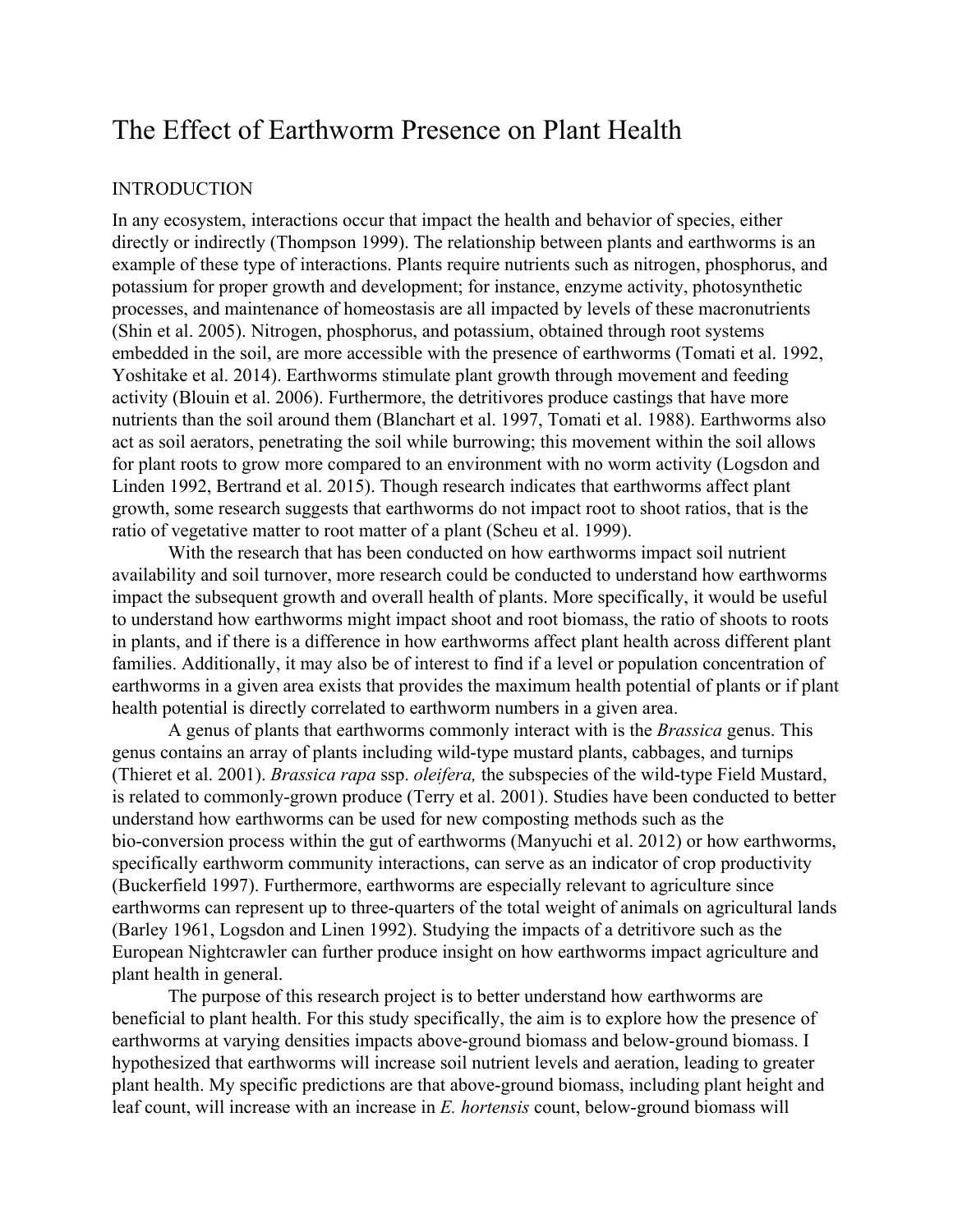# The Effect of Earthworm Presence on Plant Health

## **INTRODUCTION**

In any ecosystem, interactions occur that impact the health and behavior of species, either directly or indirectly (Thompson 1999). The relationship between plants and earthworms is an example of these type of interactions. Plants require nutrients such as nitrogen, phosphorus, and potassium for proper growth and development; for instance, enzyme activity, photosynthetic processes, and maintenance of homeostasis are all impacted by levels of these macronutrients (Shin et al. 2005). Nitrogen, phosphorus, and potassium, obtained through root systems embedded in the soil, are more accessible with the presence of earthworms (Tomati et al. 1992, Yoshitake et al. 2014). Earthworms stimulate plant growth through movement and feeding activity (Blouin et al. 2006). Furthermore, the detritivores produce castings that have more nutrients than the soil around them (Blanchart et al. 1997, Tomati et al. 1988). Earthworms also act as soil aerators, penetrating the soil while burrowing; this movement within the soil allows for plant roots to grow more compared to an environment with no worm activity (Logsdon and Linden 1992, Bertrand et al. 2015). Though research indicates that earthworms affect plant growth, some research suggests that earthworms do not impact root to shoot ratios, that is the ratio of vegetative matter to root matter of a plant (Scheu et al. 1999).

With the research that has been conducted on how earthworms impact soil nutrient availability and soil turnover, more research could be conducted to understand how earthworms impact the subsequent growth and overall health of plants. More specifically, it would be useful to understand how earthworms might impact shoot and root biomass, the ratio of shoots to roots in plants, and if there is a difference in how earthworms affect plant health across different plant families. Additionally, it may also be of interest to find if a level or population concentration of earthworms in a given area exists that provides the maximum health potential of plants or if plant health potential is directly correlated to earthworm numbers in a given area.

A genus of plants that earthworms commonly interact with is the *Brassica* genus. This genus contains an array of plants including wild-type mustard plants, cabbages, and turnips (Thieret et al. 2001). *Brassica rapa* ssp. *oleifera,* the subspecies of the wild-type Field Mustard, is related to commonly-grown produce (Terry et al. 2001). Studies have been conducted to better understand how earthworms can be used for new composting methods such as the bio-conversion process within the gut of earthworms (Manyuchi et al. 2012) or how earthworms, specifically earthworm community interactions, can serve as an indicator of crop productivity (Buckerfield 1997). Furthermore, earthworms are especially relevant to agriculture since earthworms can represent up to three-quarters of the total weight of animals on agricultural lands (Barley 1961, Logsdon and Linen 1992). Studying the impacts of a detritivore such as the European Nightcrawler can further produce insight on how earthworms impact agriculture and plant health in general.

The purpose of this research project is to better understand how earthworms are beneficial to plant health. For this study specifically, the aim is to explore how the presence of earthworms at varying densities impacts above-ground biomass and below-ground biomass. I hypothesized that earthworms will increase soil nutrient levels and aeration, leading to greater plant health. My specific predictions are that above-ground biomass, including plant height and leaf count, will increase with an increase in *E. hortensis* count, below-ground biomass will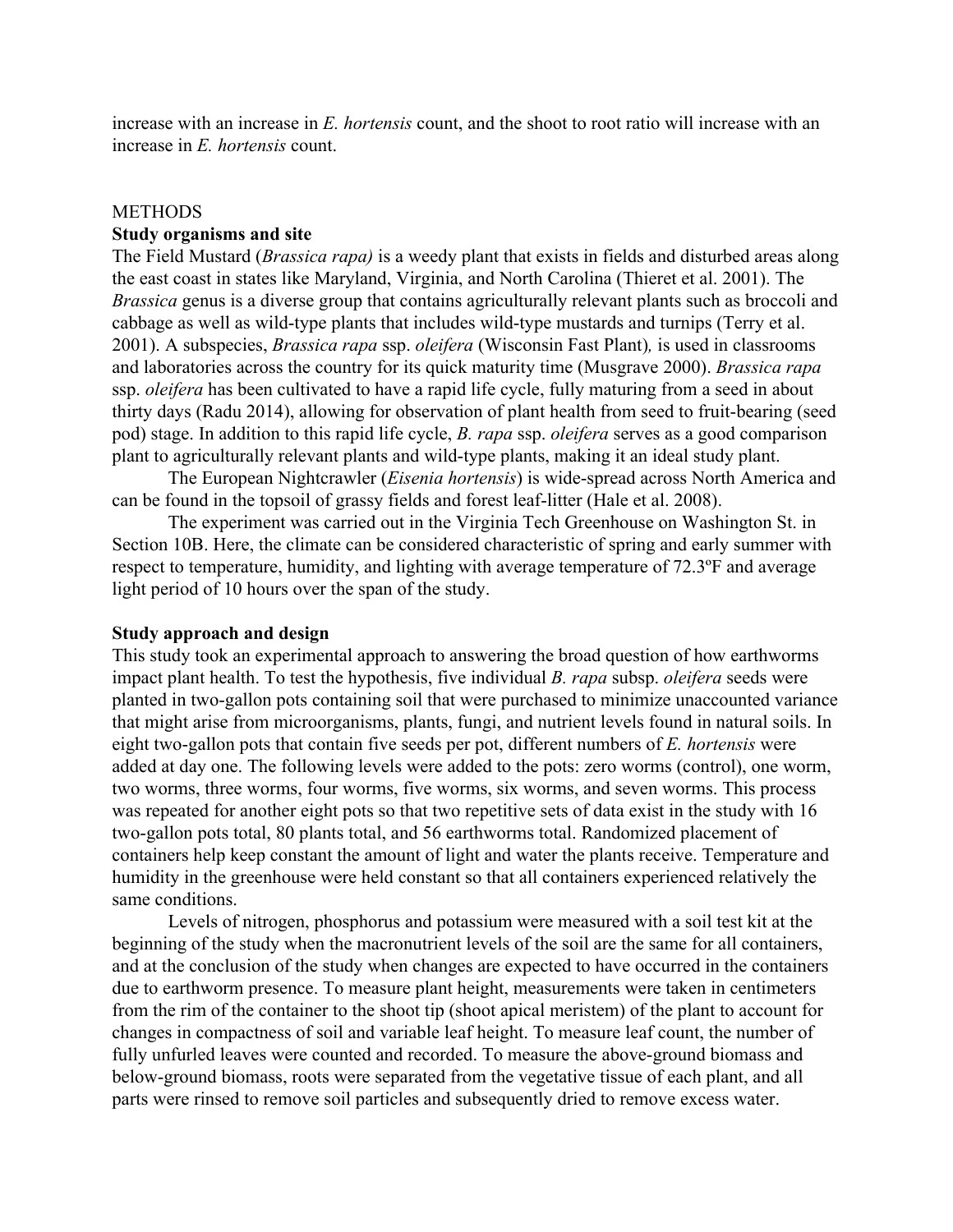increase with an increase in *E. hortensis* count, and the shoot to root ratio will increase with an increase in *E. hortensis* count.

### **METHODS**

## **Study organisms and site**

The Field Mustard (*Brassica rapa)* is a weedy plant that exists in fields and disturbed areas along the east coast in states like Maryland, Virginia, and North Carolina (Thieret et al. 2001). The *Brassica* genus is a diverse group that contains agriculturally relevant plants such as broccoli and cabbage as well as wild-type plants that includes wild-type mustards and turnips (Terry et al. 2001). A subspecies, *Brassica rapa* ssp. *oleifera* (Wisconsin Fast Plant)*,* is used in classrooms and laboratories across the country for its quick maturity time (Musgrave 2000). *Brassica rapa* ssp. *oleifera* has been cultivated to have a rapid life cycle, fully maturing from a seed in about thirty days (Radu 2014), allowing for observation of plant health from seed to fruit-bearing (seed pod) stage. In addition to this rapid life cycle, *B. rapa* ssp. *oleifera* serves as a good comparison plant to agriculturally relevant plants and wild-type plants, making it an ideal study plant.

The European Nightcrawler (*Eisenia hortensis*) is wide-spread across North America and can be found in the topsoil of grassy fields and forest leaf-litter (Hale et al. 2008).

The experiment was carried out in the Virginia Tech Greenhouse on Washington St. in Section 10B. Here, the climate can be considered characteristic of spring and early summer with respect to temperature, humidity, and lighting with average temperature of 72.3ºF and average light period of 10 hours over the span of the study.

### **Study approach and design**

This study took an experimental approach to answering the broad question of how earthworms impact plant health. To test the hypothesis, five individual *B. rapa* subsp. *oleifera* seeds were planted in two-gallon pots containing soil that were purchased to minimize unaccounted variance that might arise from microorganisms, plants, fungi, and nutrient levels found in natural soils. In eight two-gallon pots that contain five seeds per pot, different numbers of *E. hortensis* were added at day one. The following levels were added to the pots: zero worms (control), one worm, two worms, three worms, four worms, five worms, six worms, and seven worms. This process was repeated for another eight pots so that two repetitive sets of data exist in the study with 16 two-gallon pots total, 80 plants total, and 56 earthworms total. Randomized placement of containers help keep constant the amount of light and water the plants receive. Temperature and humidity in the greenhouse were held constant so that all containers experienced relatively the same conditions.

Levels of nitrogen, phosphorus and potassium were measured with a soil test kit at the beginning of the study when the macronutrient levels of the soil are the same for all containers, and at the conclusion of the study when changes are expected to have occurred in the containers due to earthworm presence. To measure plant height, measurements were taken in centimeters from the rim of the container to the shoot tip (shoot apical meristem) of the plant to account for changes in compactness of soil and variable leaf height. To measure leaf count, the number of fully unfurled leaves were counted and recorded. To measure the above-ground biomass and below-ground biomass, roots were separated from the vegetative tissue of each plant, and all parts were rinsed to remove soil particles and subsequently dried to remove excess water.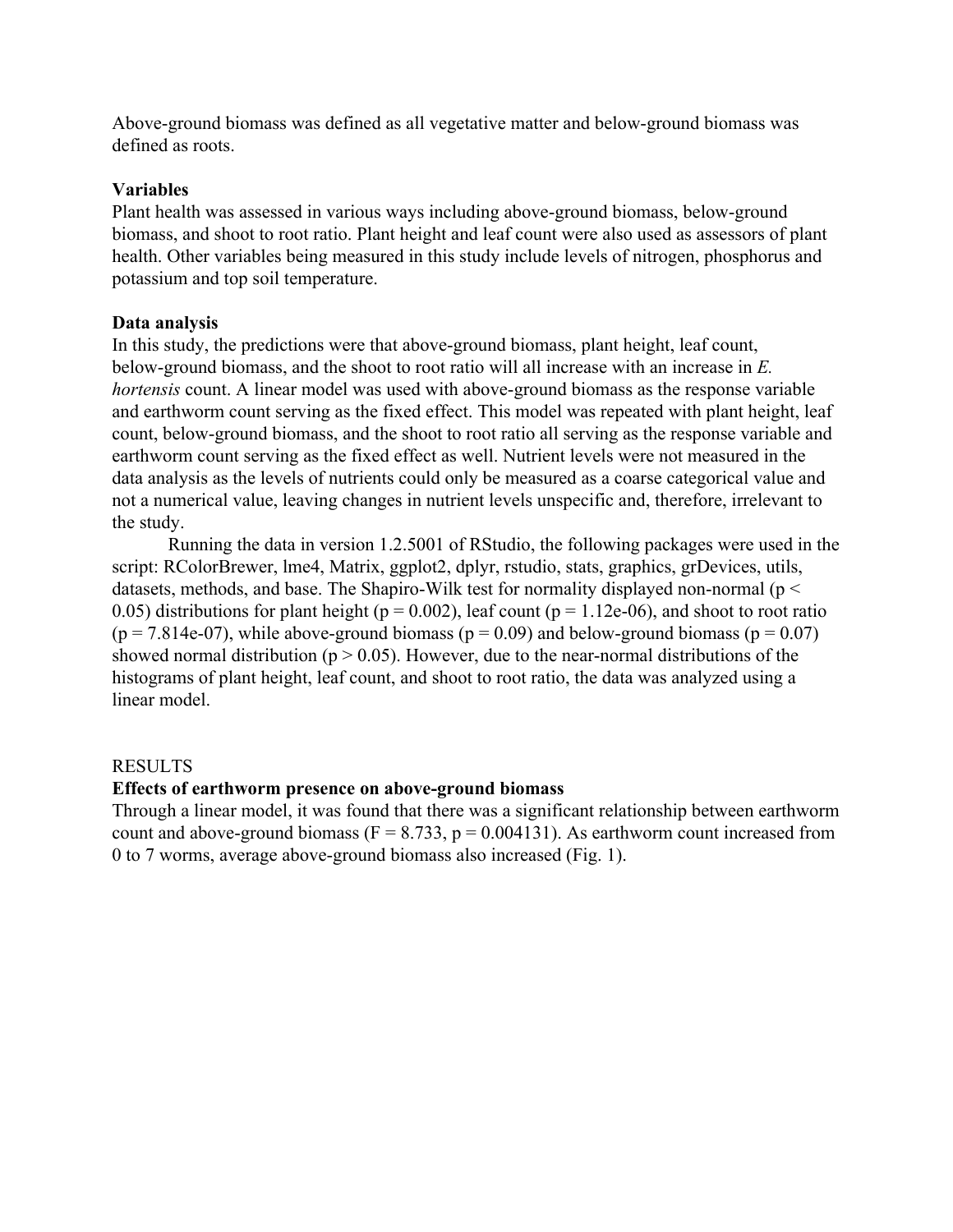Above-ground biomass was defined as all vegetative matter and below-ground biomass was defined as roots.

# **Variables**

Plant health was assessed in various ways including above-ground biomass, below-ground biomass, and shoot to root ratio. Plant height and leaf count were also used as assessors of plant health. Other variables being measured in this study include levels of nitrogen, phosphorus and potassium and top soil temperature.

## **Data analysis**

In this study, the predictions were that above-ground biomass, plant height, leaf count, below-ground biomass, and the shoot to root ratio will all increase with an increase in *E. hortensis* count. A linear model was used with above-ground biomass as the response variable and earthworm count serving as the fixed effect. This model was repeated with plant height, leaf count, below-ground biomass, and the shoot to root ratio all serving as the response variable and earthworm count serving as the fixed effect as well. Nutrient levels were not measured in the data analysis as the levels of nutrients could only be measured as a coarse categorical value and not a numerical value, leaving changes in nutrient levels unspecific and, therefore, irrelevant to the study.

Running the data in version 1.2.5001 of RStudio, the following packages were used in the script: RColorBrewer, lme4, Matrix, ggplot2, dplyr, rstudio, stats, graphics, grDevices, utils, datasets, methods, and base. The Shapiro-Wilk test for normality displayed non-normal ( $p <$ 0.05) distributions for plant height ( $p = 0.002$ ), leaf count ( $p = 1.12e-06$ ), and shoot to root ratio  $(p = 7.814e-07)$ , while above-ground biomass  $(p = 0.09)$  and below-ground biomass  $(p = 0.07)$ showed normal distribution ( $p > 0.05$ ). However, due to the near-normal distributions of the histograms of plant height, leaf count, and shoot to root ratio, the data was analyzed using a linear model.

## RESULTS

## **Effects of earthworm presence on above-ground biomass**

Through a linear model, it was found that there was a significant relationship between earthworm count and above-ground biomass ( $F = 8.733$ ,  $p = 0.004131$ ). As earthworm count increased from 0 to 7 worms, average above-ground biomass also increased (Fig. 1).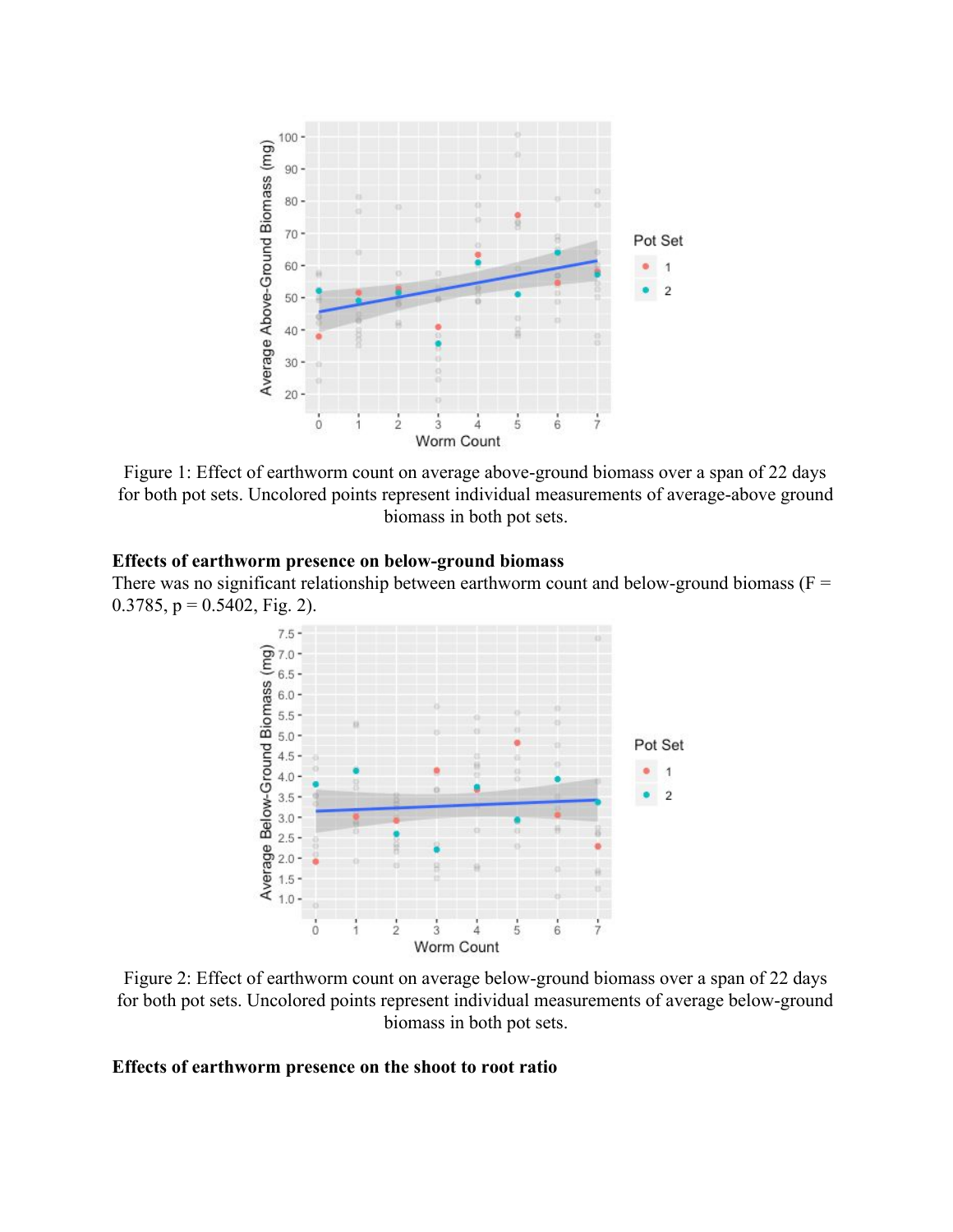

Figure 1: Effect of earthworm count on average above-ground biomass over a span of 22 days for both pot sets. Uncolored points represent individual measurements of average-above ground biomass in both pot sets.

## **Effects of earthworm presence on below-ground biomass**

There was no significant relationship between earthworm count and below-ground biomass ( $F =$ 0.3785,  $p = 0.5402$ , Fig. 2).



Figure 2: Effect of earthworm count on average below-ground biomass over a span of 22 days for both pot sets. Uncolored points represent individual measurements of average below-ground biomass in both pot sets.

## **Effects of earthworm presence on the shoot to root ratio**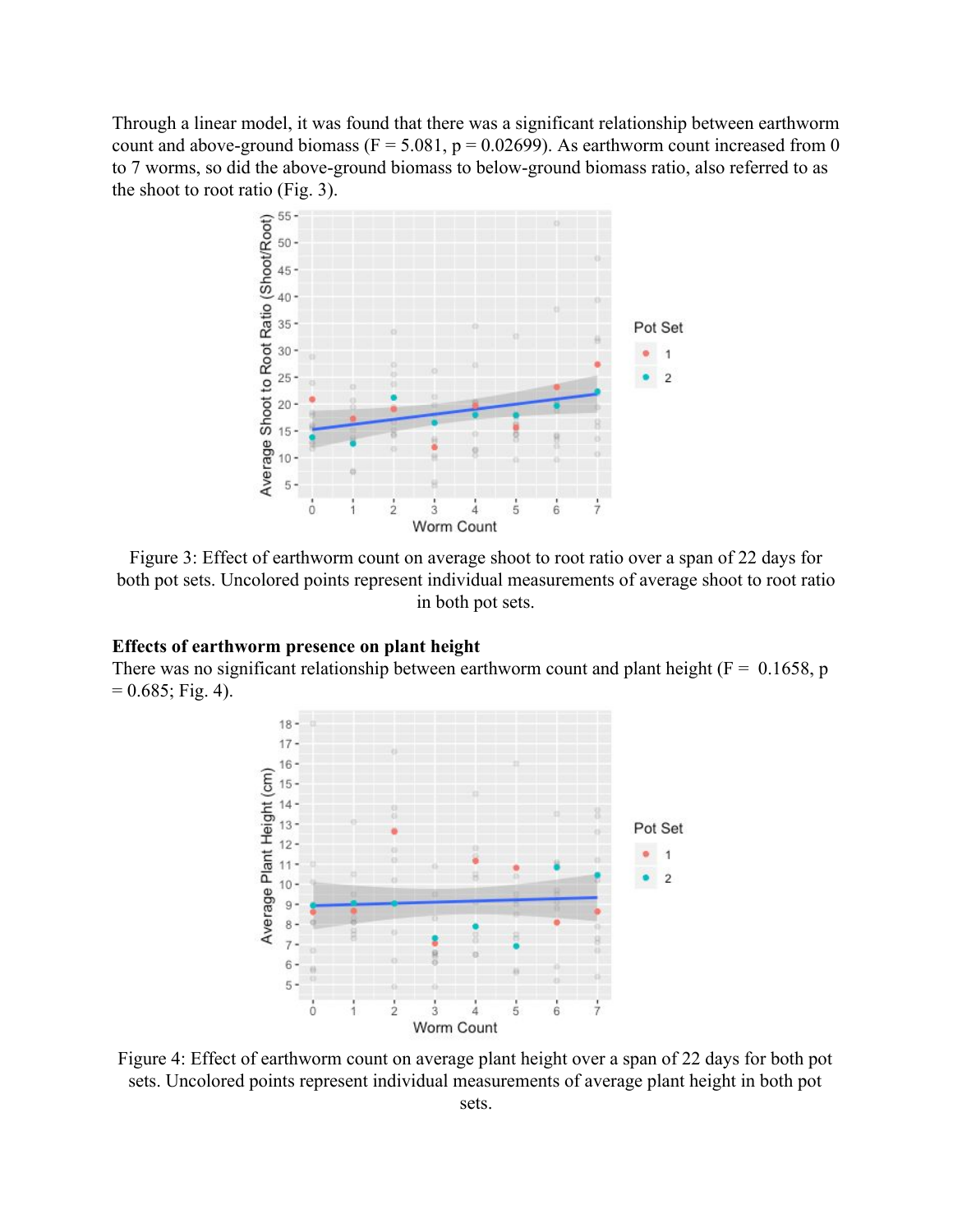Through a linear model, it was found that there was a significant relationship between earthworm count and above-ground biomass ( $F = 5.081$ ,  $p = 0.02699$ ). As earthworm count increased from 0 to 7 worms, so did the above-ground biomass to below-ground biomass ratio, also referred to as the shoot to root ratio (Fig. 3).



Figure 3: Effect of earthworm count on average shoot to root ratio over a span of 22 days for both pot sets. Uncolored points represent individual measurements of average shoot to root ratio in both pot sets.

## **Effects of earthworm presence on plant height**

There was no significant relationship between earthworm count and plant height ( $F = 0.1658$ , p  $= 0.685$ ; Fig. 4).



Figure 4: Effect of earthworm count on average plant height over a span of 22 days for both pot sets. Uncolored points represent individual measurements of average plant height in both pot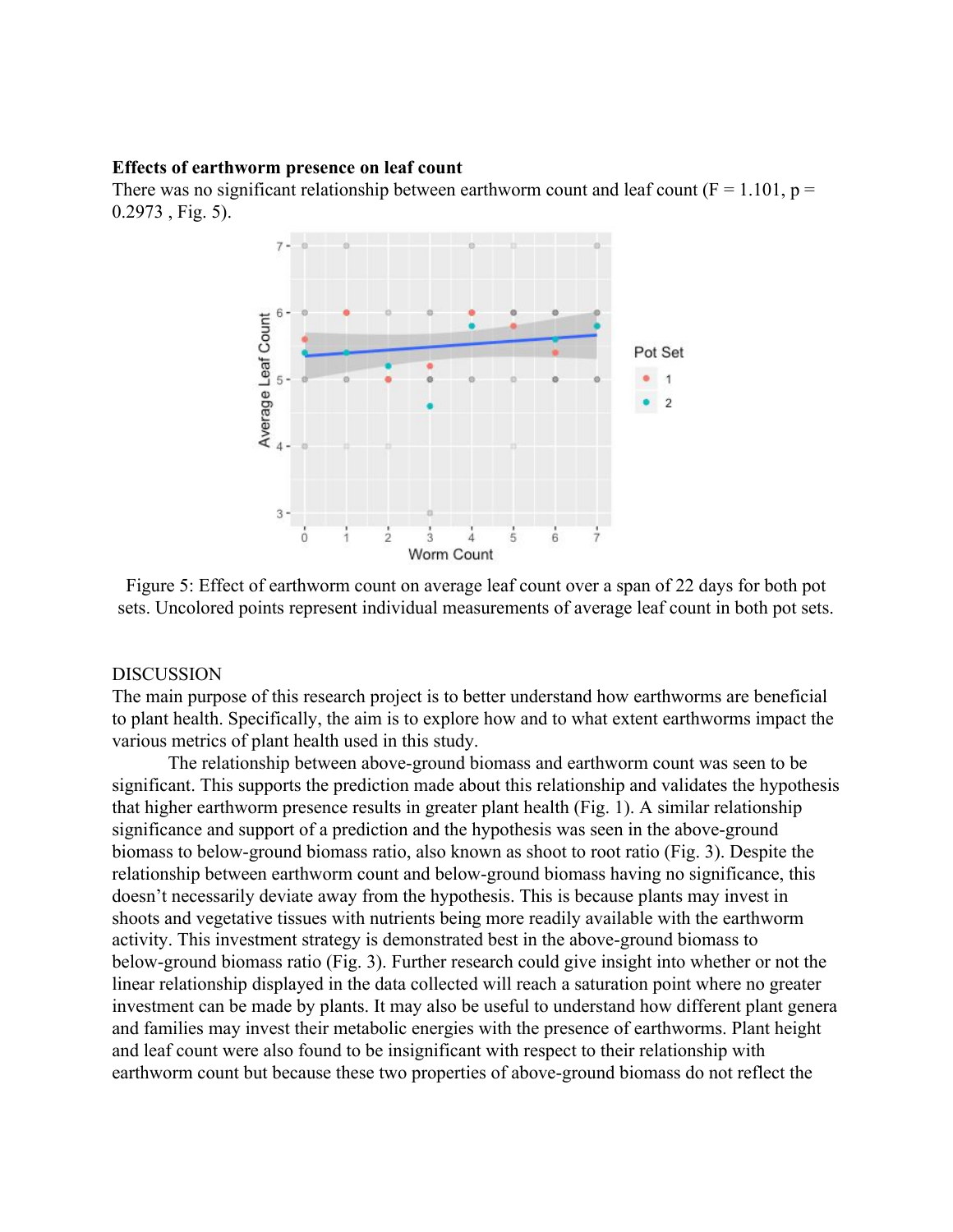#### **Effects of earthworm presence on leaf count**

There was no significant relationship between earthworm count and leaf count ( $F = 1.101$ ,  $p =$ 0.2973 , Fig. 5).



Figure 5: Effect of earthworm count on average leaf count over a span of 22 days for both pot sets. Uncolored points represent individual measurements of average leaf count in both pot sets.

### DISCUSSION

The main purpose of this research project is to better understand how earthworms are beneficial to plant health. Specifically, the aim is to explore how and to what extent earthworms impact the various metrics of plant health used in this study.

The relationship between above-ground biomass and earthworm count was seen to be significant. This supports the prediction made about this relationship and validates the hypothesis that higher earthworm presence results in greater plant health (Fig. 1). A similar relationship significance and support of a prediction and the hypothesis was seen in the above-ground biomass to below-ground biomass ratio, also known as shoot to root ratio (Fig. 3). Despite the relationship between earthworm count and below-ground biomass having no significance, this doesn't necessarily deviate away from the hypothesis. This is because plants may invest in shoots and vegetative tissues with nutrients being more readily available with the earthworm activity. This investment strategy is demonstrated best in the above-ground biomass to below-ground biomass ratio (Fig. 3). Further research could give insight into whether or not the linear relationship displayed in the data collected will reach a saturation point where no greater investment can be made by plants. It may also be useful to understand how different plant genera and families may invest their metabolic energies with the presence of earthworms. Plant height and leaf count were also found to be insignificant with respect to their relationship with earthworm count but because these two properties of above-ground biomass do not reflect the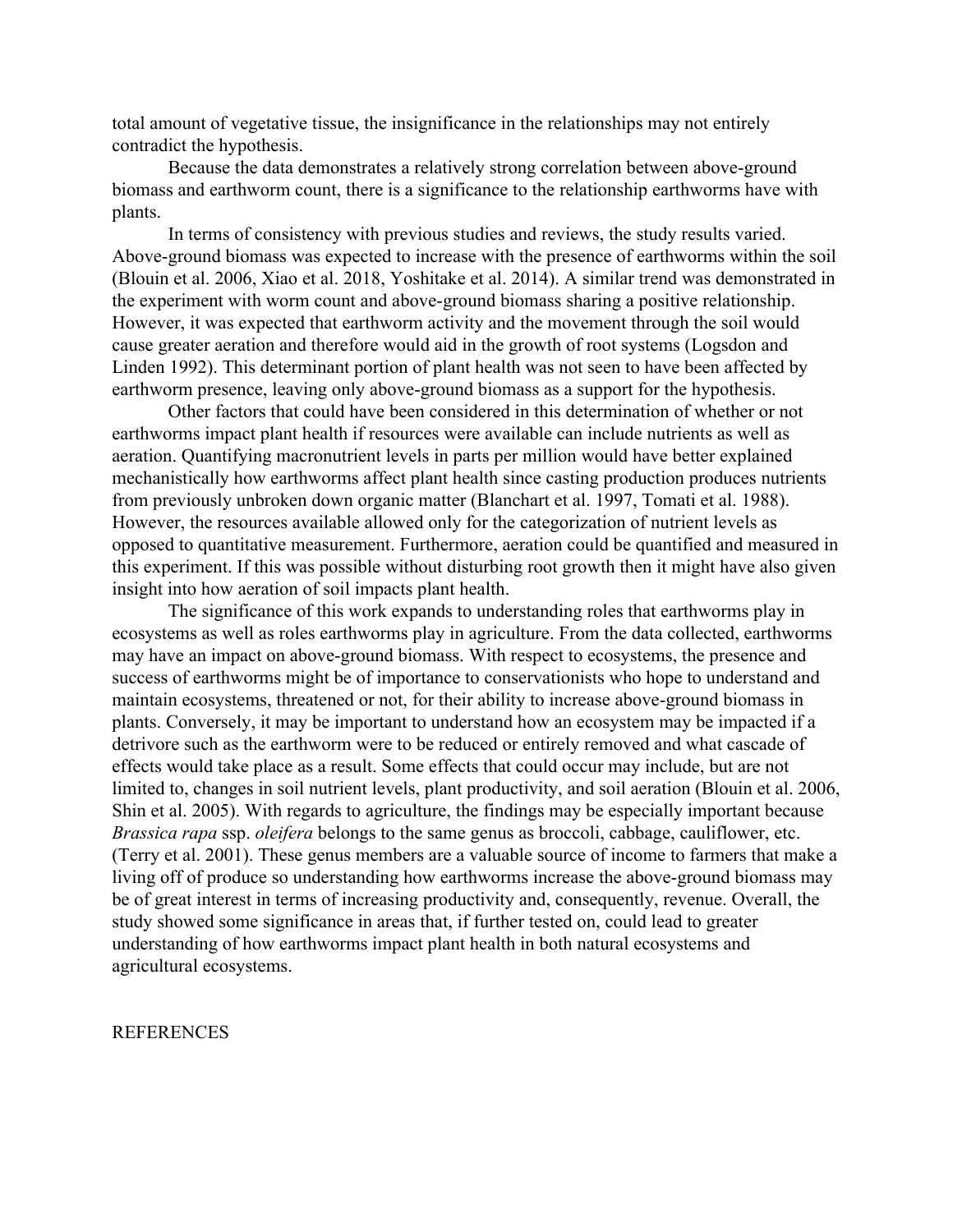total amount of vegetative tissue, the insignificance in the relationships may not entirely contradict the hypothesis.

Because the data demonstrates a relatively strong correlation between above-ground biomass and earthworm count, there is a significance to the relationship earthworms have with plants.

In terms of consistency with previous studies and reviews, the study results varied. Above-ground biomass was expected to increase with the presence of earthworms within the soil (Blouin et al. 2006, Xiao et al. 2018, Yoshitake et al. 2014). A similar trend was demonstrated in the experiment with worm count and above-ground biomass sharing a positive relationship. However, it was expected that earthworm activity and the movement through the soil would cause greater aeration and therefore would aid in the growth of root systems (Logsdon and Linden 1992). This determinant portion of plant health was not seen to have been affected by earthworm presence, leaving only above-ground biomass as a support for the hypothesis.

Other factors that could have been considered in this determination of whether or not earthworms impact plant health if resources were available can include nutrients as well as aeration. Quantifying macronutrient levels in parts per million would have better explained mechanistically how earthworms affect plant health since casting production produces nutrients from previously unbroken down organic matter (Blanchart et al. 1997, Tomati et al. 1988). However, the resources available allowed only for the categorization of nutrient levels as opposed to quantitative measurement. Furthermore, aeration could be quantified and measured in this experiment. If this was possible without disturbing root growth then it might have also given insight into how aeration of soil impacts plant health.

The significance of this work expands to understanding roles that earthworms play in ecosystems as well as roles earthworms play in agriculture. From the data collected, earthworms may have an impact on above-ground biomass. With respect to ecosystems, the presence and success of earthworms might be of importance to conservationists who hope to understand and maintain ecosystems, threatened or not, for their ability to increase above-ground biomass in plants. Conversely, it may be important to understand how an ecosystem may be impacted if a detrivore such as the earthworm were to be reduced or entirely removed and what cascade of effects would take place as a result. Some effects that could occur may include, but are not limited to, changes in soil nutrient levels, plant productivity, and soil aeration (Blouin et al. 2006, Shin et al. 2005). With regards to agriculture, the findings may be especially important because *Brassica rapa* ssp. *oleifera* belongs to the same genus as broccoli, cabbage, cauliflower, etc. (Terry et al. 2001). These genus members are a valuable source of income to farmers that make a living off of produce so understanding how earthworms increase the above-ground biomass may be of great interest in terms of increasing productivity and, consequently, revenue. Overall, the study showed some significance in areas that, if further tested on, could lead to greater understanding of how earthworms impact plant health in both natural ecosystems and agricultural ecosystems.

#### **REFERENCES**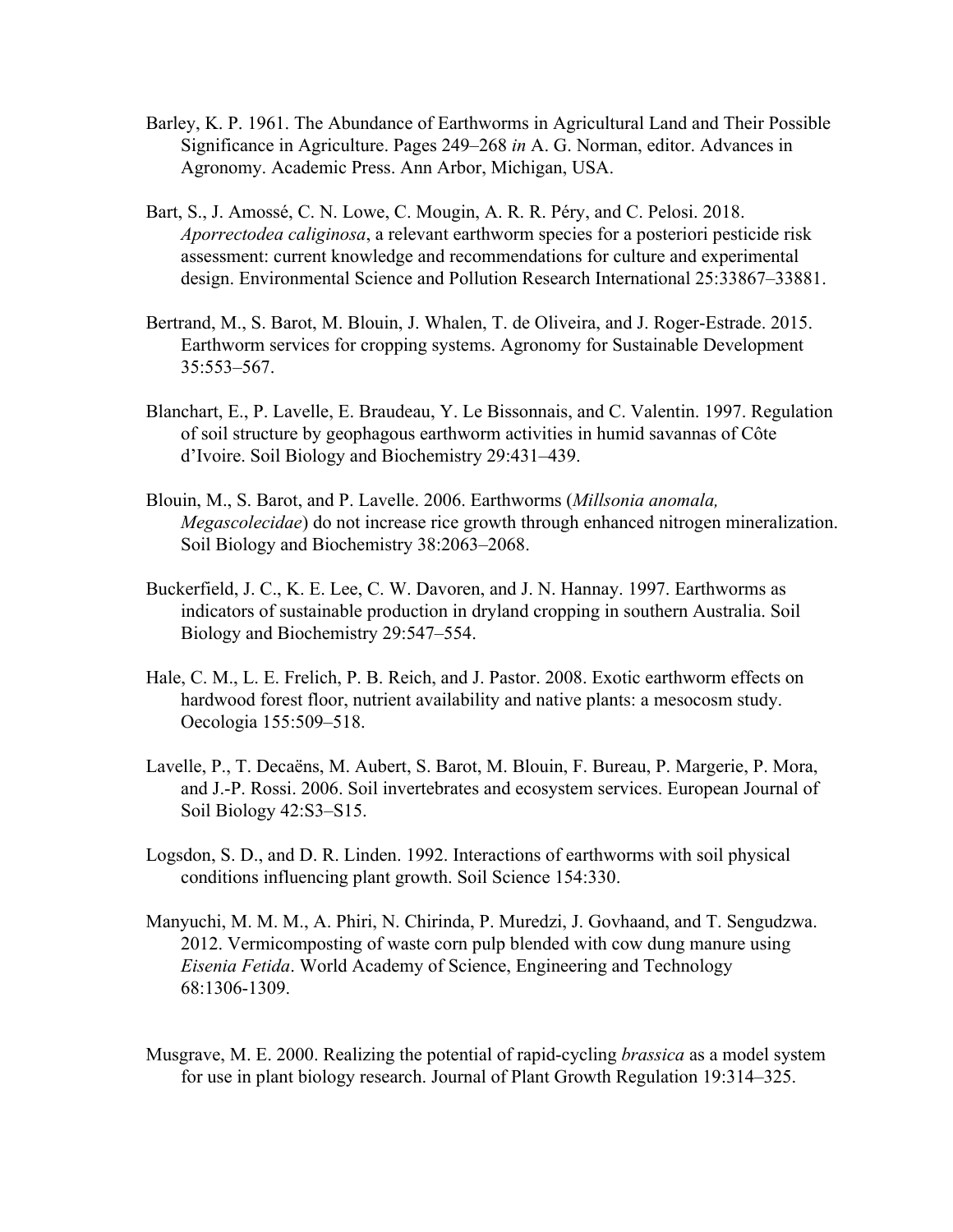- Barley, K. P. 1961. The Abundance of Earthworms in Agricultural Land and Their Possible Significance in Agriculture. Pages 249–268 *in* A. G. Norman, editor. Advances in Agronomy. Academic Press. Ann Arbor, Michigan, USA.
- Bart, S., J. Amossé, C. N. Lowe, C. Mougin, A. R. R. Péry, and C. Pelosi. 2018. *Aporrectodea caliginosa*, a relevant earthworm species for a posteriori pesticide risk assessment: current knowledge and recommendations for culture and experimental design. Environmental Science and Pollution Research International 25:33867–33881.
- Bertrand, M., S. Barot, M. Blouin, J. Whalen, T. de Oliveira, and J. Roger-Estrade. 2015. Earthworm services for cropping systems. Agronomy for Sustainable Development 35:553–567.
- Blanchart, E., P. Lavelle, E. Braudeau, Y. Le Bissonnais, and C. Valentin. 1997. Regulation of soil structure by geophagous earthworm activities in humid savannas of Côte d'Ivoire. Soil Biology and Biochemistry 29:431–439.
- Blouin, M., S. Barot, and P. Lavelle. 2006. Earthworms (*Millsonia anomala, Megascolecidae*) do not increase rice growth through enhanced nitrogen mineralization. Soil Biology and Biochemistry 38:2063–2068.
- Buckerfield, J. C., K. E. Lee, C. W. Davoren, and J. N. Hannay. 1997. Earthworms as indicators of sustainable production in dryland cropping in southern Australia. Soil Biology and Biochemistry 29:547–554.
- Hale, C. M., L. E. Frelich, P. B. Reich, and J. Pastor. 2008. Exotic earthworm effects on hardwood forest floor, nutrient availability and native plants: a mesocosm study. Oecologia 155:509–518.
- Lavelle, P., T. Decaëns, M. Aubert, S. Barot, M. Blouin, F. Bureau, P. Margerie, P. Mora, and J.-P. Rossi. 2006. Soil invertebrates and ecosystem services. European Journal of Soil Biology 42:S3–S15.
- Logsdon, S. D., and D. R. Linden. 1992. Interactions of earthworms with soil physical conditions influencing plant growth. Soil Science 154:330.
- Manyuchi, M. M. M., A. Phiri, N. Chirinda, P. Muredzi, J. Govhaand, and T. Sengudzwa. 2012. Vermicomposting of waste corn pulp blended with cow dung manure using *Eisenia Fetida*. World Academy of Science, Engineering and Technology 68:1306-1309.
- Musgrave, M. E. 2000. Realizing the potential of rapid-cycling *brassica* as a model system for use in plant biology research. Journal of Plant Growth Regulation 19:314–325.